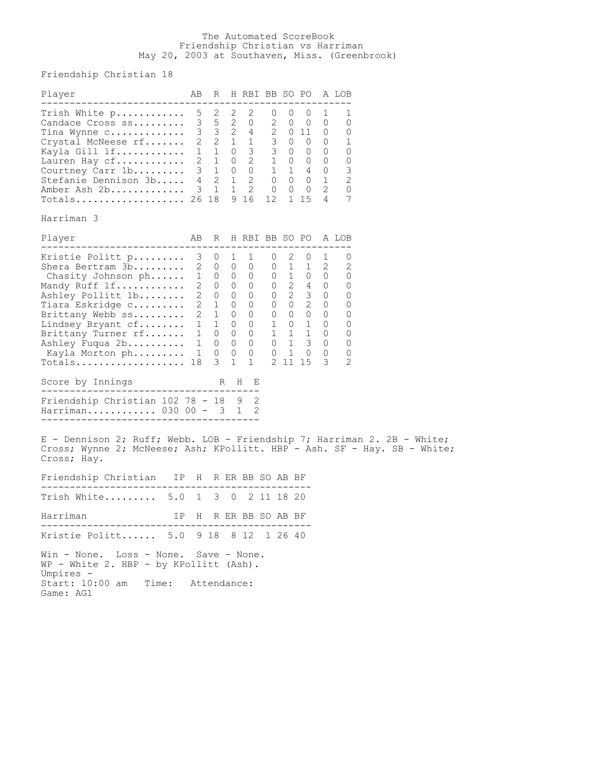## The Automated ScoreBook Friendship Christian vs Harriman May 20, 2003 at Southaven, Miss. (Greenbrook)

Friendship Christian 18

| Player                                                                                                                                                                                                                              | ΑB                                                                                                           | R                                                                       |                                         | H RBI BB SO PO                                                                                                       |                                            |                      |                                                                                                                                        |                                                             | A LOB                                                                 |  |
|-------------------------------------------------------------------------------------------------------------------------------------------------------------------------------------------------------------------------------------|--------------------------------------------------------------------------------------------------------------|-------------------------------------------------------------------------|-----------------------------------------|----------------------------------------------------------------------------------------------------------------------|--------------------------------------------|----------------------|----------------------------------------------------------------------------------------------------------------------------------------|-------------------------------------------------------------|-----------------------------------------------------------------------|--|
| Trish White p<br>Candace Cross ss<br>Tina Wynne $\circ \ldots \ldots \ldots$<br>Crystal McNeese rf<br>Kayla Gill 1f<br>Lauren Hay cf<br>Courtney Carr 1b<br>Stefanie Dennison 3b<br>Amber Ash 2b<br>$Totals.$                       | 5<br>3<br>$4\overline{ }$<br>$\mathcal{S}$                                                                   | 2<br>2<br>$\mathbf{1}$<br>26 18                                         | 2<br>5 <sub>2</sub><br>1<br>$\mathbf 1$ | 2<br>0<br>3 3 2 4 2 0 11<br>2 2 1 1 3 0 0<br>1 1 0 3 3 0 0<br>2 1 0 2 1 0 0<br>3 1 0 0 1 1 4<br>$\mathbf{2}$<br>9 16 | 0<br>2<br>$2 \t 0$<br>$\overline{0}$<br>12 | 0<br>0<br>0          | 0<br>$\overline{0}$<br>$\begin{matrix} 0 & 0 & 0 \end{matrix}$<br>$1 \quad 4 \quad 0$<br>$0 \quad 0 \quad 1$<br>$\overline{0}$<br>1 15 | 1<br>O<br>$\cup$<br>$\overline{0}$<br>$\mathbf 0$<br>2<br>4 | 1<br>0<br>O<br>1<br>0<br>0<br>3<br>$\overline{2}$<br>$\mathbf 0$<br>7 |  |
| Harriman 3                                                                                                                                                                                                                          |                                                                                                              |                                                                         |                                         |                                                                                                                      |                                            |                      |                                                                                                                                        |                                                             |                                                                       |  |
| Player                                                                                                                                                                                                                              | AB                                                                                                           | R                                                                       |                                         | H RBI BB SO PO                                                                                                       |                                            |                      |                                                                                                                                        |                                                             | A LOB                                                                 |  |
| Kristie Politt p<br>Shera Bertram 3b<br>Chasity Johnson ph<br>Mandy Ruff lf<br>Ashley Pollitt 1b<br>Tiara Eskridge c<br>Brittany Webb ss<br>Lindsey Bryant cf<br>Brittany Turner rf<br>Ashley Fuqua 2b<br>Kayla Morton ph<br>Totals | 3 <sup>7</sup><br>$2^{\circ}$<br>$2^{\circ}$<br>$2^{\circ}$<br>$2^{\circ}$<br>1<br>$1 \quad$<br>1<br>1<br>18 | $\cup$<br>2 0 0<br>1 0 0 0<br>0<br>0<br>1<br>1<br>1<br>0<br>0<br>0<br>3 | 1<br>$0\quad 0$<br>$\overline{0}$       | T<br>$\mathbf 0$<br>0                                                                                                | O<br>$\cup$<br>$\overline{0}$              | 2<br>1<br>$0\quad 2$ | O<br>1<br>$0 \quad 1 \quad 0 \quad 0$<br>$0 \quad 2 \quad 4 \quad 0$<br>$0 \quad 2 \quad 0$                                            | 1<br>$\overline{2}$<br>$3 \t 0$                             | 0<br>$\overline{2}$<br>0<br>0<br>0<br>0<br>0<br>0<br>0<br>0<br>0<br>2 |  |
| Score by Innings<br>-----------------------------------                                                                                                                                                                             |                                                                                                              |                                                                         |                                         | R H E                                                                                                                |                                            |                      |                                                                                                                                        |                                                             |                                                                       |  |
| Friendship Christian 102 78 - 18 9 2<br>Harriman $030 \t00 - 3 \t1$                                                                                                                                                                 |                                                                                                              |                                                                         |                                         | -2                                                                                                                   |                                            |                      |                                                                                                                                        |                                                             |                                                                       |  |
| E - Dennison 2; Ruff; Webb. LOB - Friendship 7; Harriman 2. 2B - White;<br>Cross; Wynne 2; McNeese; Ash; KPollitt. HBP - Ash. SF - Hay. SB - White;<br>Cross; Hay.                                                                  |                                                                                                              |                                                                         |                                         |                                                                                                                      |                                            |                      |                                                                                                                                        |                                                             |                                                                       |  |
| Friendship Christian IP H                                                                                                                                                                                                           |                                                                                                              |                                                                         |                                         | R ER BB SO AB BF                                                                                                     |                                            |                      |                                                                                                                                        |                                                             |                                                                       |  |
| Trish White<br>5.0                                                                                                                                                                                                                  | $\mathbf{1}$                                                                                                 |                                                                         | 3 0                                     |                                                                                                                      |                                            | 2 11 18 20           |                                                                                                                                        |                                                             |                                                                       |  |
| Harriman<br>IΡ                                                                                                                                                                                                                      | H.                                                                                                           |                                                                         |                                         | R ER BB SO AB BF                                                                                                     |                                            |                      |                                                                                                                                        |                                                             |                                                                       |  |
| Kristie Politt 5.0 9 18 8 12 1 26 40                                                                                                                                                                                                |                                                                                                              |                                                                         |                                         |                                                                                                                      |                                            |                      |                                                                                                                                        |                                                             |                                                                       |  |
| Win - None. Loss - None. Save - None.<br>WP - White 2. HBP - by KPollitt (Ash).<br>Umpires -<br>Start: 10:00 am<br>Time:<br>Game: AG1                                                                                               |                                                                                                              | Attendance:                                                             |                                         |                                                                                                                      |                                            |                      |                                                                                                                                        |                                                             |                                                                       |  |